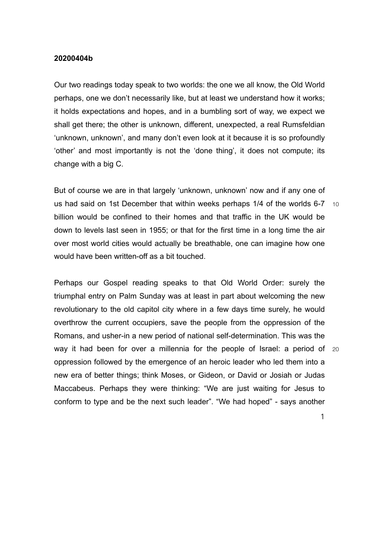## **20200404b**

Our two readings today speak to two worlds: the one we all know, the Old World perhaps, one we don't necessarily like, but at least we understand how it works; it holds expectations and hopes, and in a bumbling sort of way, we expect we shall get there; the other is unknown, different, unexpected, a real Rumsfeldian 'unknown, unknown', and many don't even look at it because it is so profoundly 'other' and most importantly is not the 'done thing', it does not compute; its change with a big C.

us had said on 1st December that within weeks perhaps  $1/4$  of the worlds 6-7  $\pm$ 10 But of course we are in that largely 'unknown, unknown' now and if any one of billion would be confined to their homes and that traffic in the UK would be down to levels last seen in 1955; or that for the first time in a long time the air over most world cities would actually be breathable, one can imagine how one would have been written-off as a bit touched.

way it had been for over a millennia for the people of Israel: a period of  $20$ Perhaps our Gospel reading speaks to that Old World Order: surely the triumphal entry on Palm Sunday was at least in part about welcoming the new revolutionary to the old capitol city where in a few days time surely, he would overthrow the current occupiers, save the people from the oppression of the Romans, and usher-in a new period of national self-determination. This was the oppression followed by the emergence of an heroic leader who led them into a new era of better things; think Moses, or Gideon, or David or Josiah or Judas Maccabeus. Perhaps they were thinking: "We are just waiting for Jesus to conform to type and be the next such leader". "We had hoped" - says another

1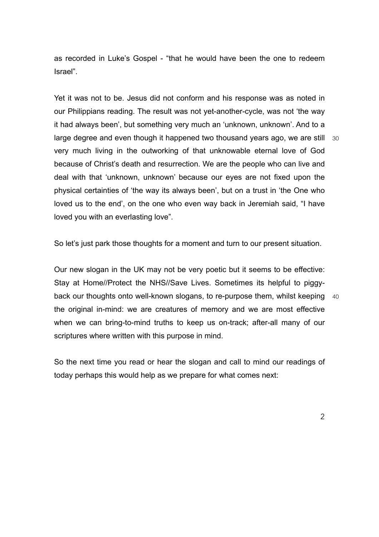as recorded in Luke's Gospel - "that he would have been the one to redeem Israel".

large degree and even though it happened two thousand years ago, we are still 30 Yet it was not to be. Jesus did not conform and his response was as noted in our Philippians reading. The result was not yet-another-cycle, was not 'the way it had always been', but something very much an 'unknown, unknown'. And to a very much living in the outworking of that unknowable eternal love of God because of Christ's death and resurrection. We are the people who can live and deal with that 'unknown, unknown' because our eyes are not fixed upon the physical certainties of 'the way its always been', but on a trust in 'the One who loved us to the end', on the one who even way back in Jeremiah said, "I have loved you with an everlasting love".

So let's just park those thoughts for a moment and turn to our present situation.

back our thoughts onto well-known slogans, to re-purpose them, whilst keeping 40 Our new slogan in the UK may not be very poetic but it seems to be effective: Stay at Home//Protect the NHS//Save Lives. Sometimes its helpful to piggythe original in-mind: we are creatures of memory and we are most effective when we can bring-to-mind truths to keep us on-track; after-all many of our scriptures where written with this purpose in mind.

So the next time you read or hear the slogan and call to mind our readings of today perhaps this would help as we prepare for what comes next: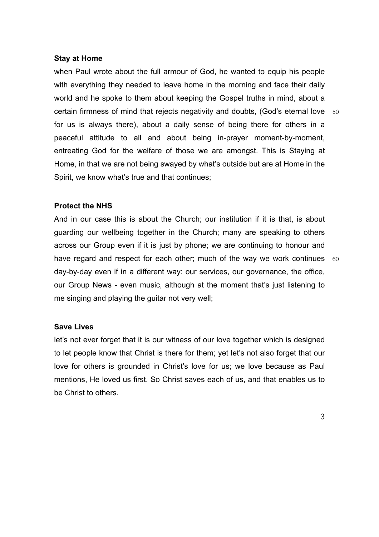## **Stay at Home**

certain firmness of mind that rejects negativity and doubts, (God's eternal love 50 when Paul wrote about the full armour of God, he wanted to equip his people with everything they needed to leave home in the morning and face their daily world and he spoke to them about keeping the Gospel truths in mind, about a for us is always there), about a daily sense of being there for others in a peaceful attitude to all and about being in-prayer moment-by-moment, entreating God for the welfare of those we are amongst. This is Staying at Home, in that we are not being swayed by what's outside but are at Home in the Spirit, we know what's true and that continues;

## **Protect the NHS**

have regard and respect for each other; much of the way we work continues  $60$ And in our case this is about the Church; our institution if it is that, is about guarding our wellbeing together in the Church; many are speaking to others across our Group even if it is just by phone; we are continuing to honour and day-by-day even if in a different way: our services, our governance, the office, our Group News - even music, although at the moment that's just listening to me singing and playing the guitar not very well;

## **Save Lives**

let's not ever forget that it is our witness of our love together which is designed to let people know that Christ is there for them; yet let's not also forget that our love for others is grounded in Christ's love for us; we love because as Paul mentions, He loved us first. So Christ saves each of us, and that enables us to be Christ to others.

3